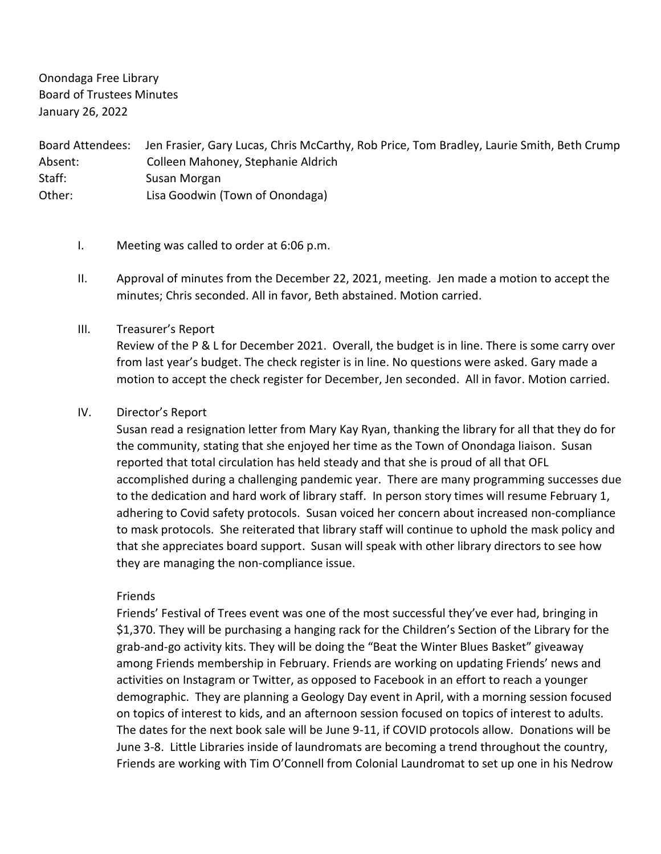Onondaga Free Library Board of Trustees Minutes January 26, 2022

Board Attendees: Jen Frasier, Gary Lucas, Chris McCarthy, Rob Price, Tom Bradley, Laurie Smith, Beth Crump Absent: Colleen Mahoney, Stephanie Aldrich Staff: Susan Morgan Other: Lisa Goodwin (Town of Onondaga)

- I. Meeting was called to order at 6:06 p.m.
- II. Approval of minutes from the December 22, 2021, meeting. Jen made a motion to accept the minutes; Chris seconded. All in favor, Beth abstained. Motion carried.

# III. Treasurer's Report

Review of the P & L for December 2021. Overall, the budget is in line. There is some carry over from last year's budget. The check register is in line. No questions were asked. Gary made a motion to accept the check register for December, Jen seconded. All in favor. Motion carried.

# IV. Director's Report

Susan read a resignation letter from Mary Kay Ryan, thanking the library for all that they do for the community, stating that she enjoyed her time as the Town of Onondaga liaison. Susan reported that total circulation has held steady and that she is proud of all that OFL accomplished during a challenging pandemic year. There are many programming successes due to the dedication and hard work of library staff. In person story times will resume February 1, adhering to Covid safety protocols. Susan voiced her concern about increased non-compliance to mask protocols. She reiterated that library staff will continue to uphold the mask policy and that she appreciates board support. Susan will speak with other library directors to see how they are managing the non-compliance issue.

## Friends

Friends' Festival of Trees event was one of the most successful they've ever had, bringing in \$1,370. They will be purchasing a hanging rack for the Children's Section of the Library for the grab-and-go activity kits. They will be doing the "Beat the Winter Blues Basket" giveaway among Friends membership in February. Friends are working on updating Friends' news and activities on Instagram or Twitter, as opposed to Facebook in an effort to reach a younger demographic. They are planning a Geology Day event in April, with a morning session focused on topics of interest to kids, and an afternoon session focused on topics of interest to adults. The dates for the next book sale will be June 9-11, if COVID protocols allow. Donations will be June 3-8. Little Libraries inside of laundromats are becoming a trend throughout the country, Friends are working with Tim O'Connell from Colonial Laundromat to set up one in his Nedrow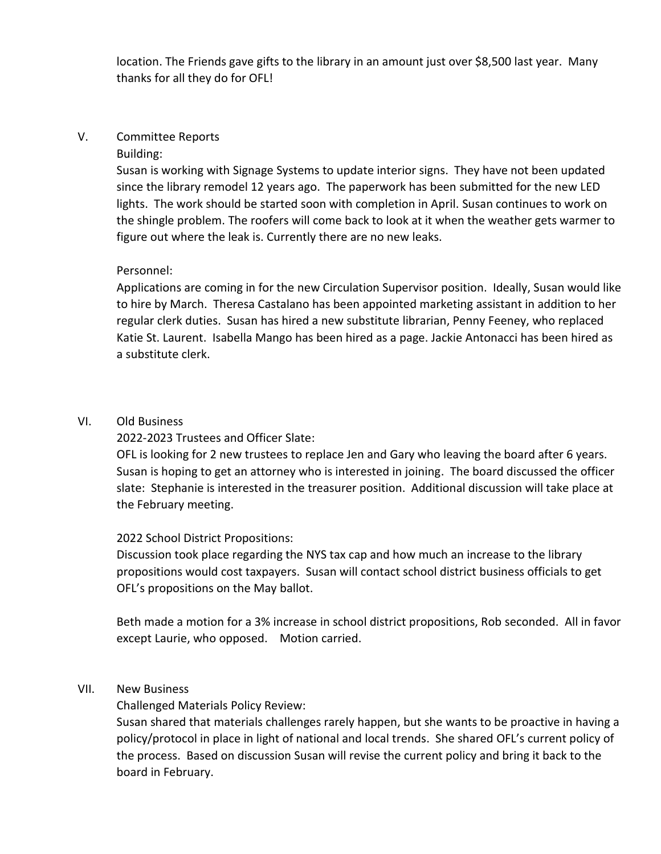location. The Friends gave gifts to the library in an amount just over \$8,500 last year. Many thanks for all they do for OFL!

# V. Committee Reports

## Building:

Susan is working with Signage Systems to update interior signs. They have not been updated since the library remodel 12 years ago. The paperwork has been submitted for the new LED lights. The work should be started soon with completion in April. Susan continues to work on the shingle problem. The roofers will come back to look at it when the weather gets warmer to figure out where the leak is. Currently there are no new leaks.

#### Personnel:

Applications are coming in for the new Circulation Supervisor position. Ideally, Susan would like to hire by March. Theresa Castalano has been appointed marketing assistant in addition to her regular clerk duties. Susan has hired a new substitute librarian, Penny Feeney, who replaced Katie St. Laurent. Isabella Mango has been hired as a page. Jackie Antonacci has been hired as a substitute clerk.

## VI. Old Business

# 2022-2023 Trustees and Officer Slate:

OFL is looking for 2 new trustees to replace Jen and Gary who leaving the board after 6 years. Susan is hoping to get an attorney who is interested in joining. The board discussed the officer slate: Stephanie is interested in the treasurer position. Additional discussion will take place at the February meeting.

## 2022 School District Propositions:

Discussion took place regarding the NYS tax cap and how much an increase to the library propositions would cost taxpayers. Susan will contact school district business officials to get OFL's propositions on the May ballot.

Beth made a motion for a 3% increase in school district propositions, Rob seconded. All in favor except Laurie, who opposed. Motion carried.

## VII. New Business

Challenged Materials Policy Review:

Susan shared that materials challenges rarely happen, but she wants to be proactive in having a policy/protocol in place in light of national and local trends. She shared OFL's current policy of the process. Based on discussion Susan will revise the current policy and bring it back to the board in February.